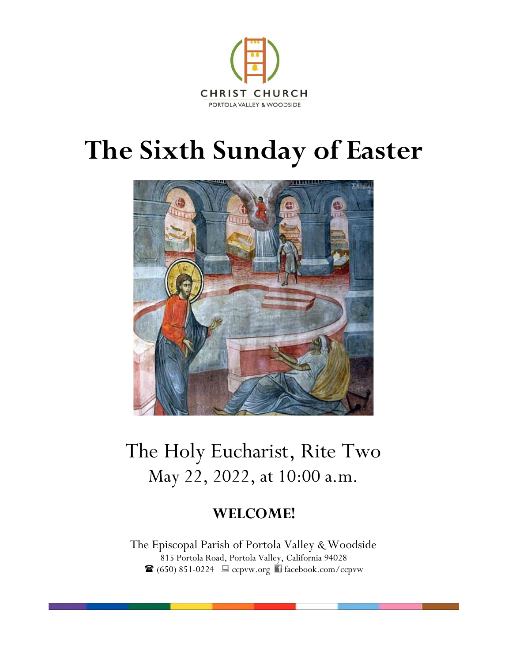

# **The Sixth Sunday of Easter**



## The Holy Eucharist, Rite Two May 22, 2022, at 10:00 a.m.

## **WELCOME!**

The Episcopal Parish of Portola Valley *&* Woodside 815 Portola Road, Portola Valley, California 94028  $\mathbf{\widehat{E}}$  (650) 851-0224  $\mathbf{\equiv}$  ccpvw.org **i** facebook.com/ccpvw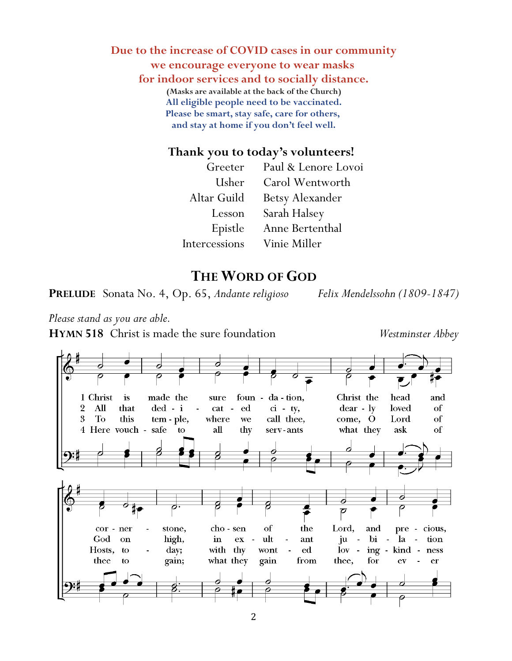#### **Due to the increase of COVID cases in our community we encourage everyone to wear masks for indoor services and to socially distance. (Masks are available at the back of the Church) All eligible people need to be vaccinated. Please be smart, stay safe, care for others, and stay at home if you don't feel well.**

#### **Thank you to today's volunteers!**

| Greeter       | Paul & Lenore Lovoi    |
|---------------|------------------------|
| Usher         | Carol Wentworth        |
| Altar Guild   | <b>Betsy Alexander</b> |
| Lesson        | Sarah Halsey           |
| Epistle       | Anne Bertenthal        |
| Intercessions | Vinie Miller           |

#### **THE WORD OF GOD**

**PRELUDE** Sonata No. 4, Op. 65, *Andante religioso Felix Mendelssohn (1809-1847)*

*Please stand as you are able.* **HYMN 518** Christ is made the sure foundation *Westminster Abbey*

1 Christ  $\mathbf{i}$ s made the sure foun - da - tion, Christ the head and  $\overline{2}$ **All** that  $\mathrm{ded}$  -  $\mathrm{i}$ cat - ed dear - ly loved of  $\dot{c}$  - ty, call thee, 3 this come, O To tem - ple, where we Lord of 4 Here vouch - safe all serv-ants what they  $\mathbf{t}$ thy ask of Ó  $\overline{\sigma}$  $\overline{\mathcal{D}}$ of the cor - ner stone, cho - sen Lord, and pre - cious, God high, ult bi la on  $\mathbf{in}$  $ex$ ant ju tion  $\sim$  $\sim$  $\sim$  $\sim$   $$ with thy  $\frac{1}{\sqrt{2}}$ Hosts, day; wont  $_{\rm ed}$ ing - kind - ness to thee what they from thee, for to gain; gain  $ev$ er  $\overline{a}$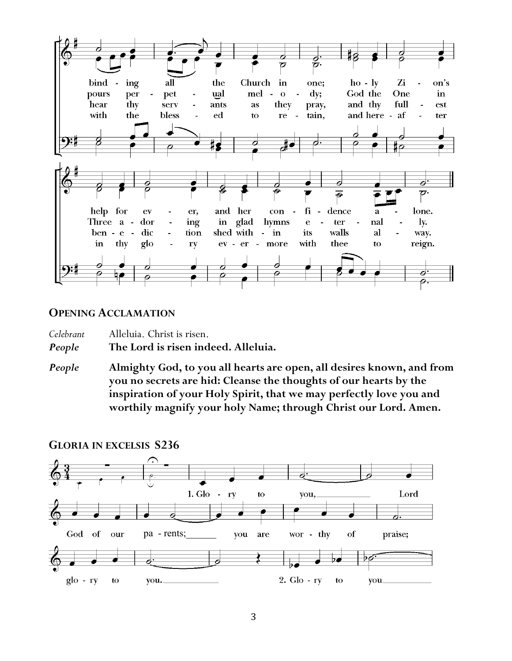

#### **OPENING ACCLAMATION**

- *Celebrant* Alleluia. Christ is risen.
- *People* **The Lord is risen indeed. Alleluia.**
- *People* **Almighty God, to you all hearts are open, all desires known, and from you no secrets are hid: Cleanse the thoughts of our hearts by the inspiration of your Holy Spirit, that we may perfectly love you and worthily magnify your holy Name; through Christ our Lord. Amen.**



3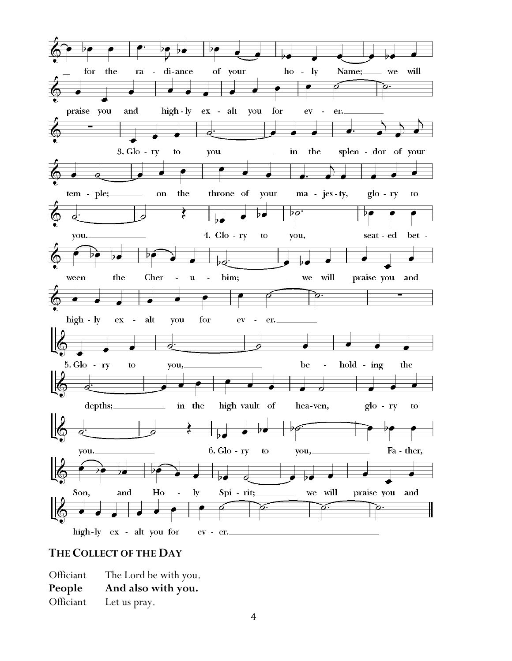

#### **THE COLLECT OF THE DAY**

| Officiant | The Lord be with you. |
|-----------|-----------------------|
| People    | And also with you.    |
| Officiant | Let us pray.          |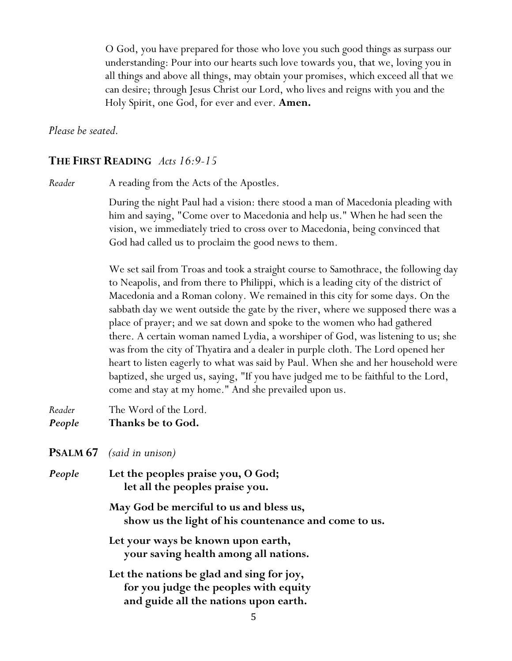O God, you have prepared for those who love you such good things as surpass our understanding: Pour into our hearts such love towards you, that we, loving you in all things and above all things, may obtain your promises, which exceed all that we can desire; through Jesus Christ our Lord, who lives and reigns with you and the Holy Spirit, one God, for ever and ever. **Amen.**

*Please be seated.*

#### **THE FIRST READING** *Acts 16:9-15*

*Reader* A reading from the Acts of the Apostles.

During the night Paul had a vision: there stood a man of Macedonia pleading with him and saying, "Come over to Macedonia and help us." When he had seen the vision, we immediately tried to cross over to Macedonia, being convinced that God had called us to proclaim the good news to them.

We set sail from Troas and took a straight course to Samothrace, the following day to Neapolis, and from there to Philippi, which is a leading city of the district of Macedonia and a Roman colony. We remained in this city for some days. On the sabbath day we went outside the gate by the river, where we supposed there was a place of prayer; and we sat down and spoke to the women who had gathered there. A certain woman named Lydia, a worshiper of God, was listening to us; she was from the city of Thyatira and a dealer in purple cloth. The Lord opened her heart to listen eagerly to what was said by Paul. When she and her household were baptized, she urged us, saying, "If you have judged me to be faithful to the Lord, come and stay at my home." And she prevailed upon us.

| Reader | The Word of the Lord. |
|--------|-----------------------|
| People | Thanks be to God.     |

**PSALM 67** *(said in unison)*

*People* **Let the peoples praise you, O God; let all the peoples praise you.**

> **May God be merciful to us and bless us, show us the light of his countenance and come to us.**

**Let your ways be known upon earth, your saving health among all nations.**

**Let the nations be glad and sing for joy, for you judge the peoples with equity and guide all the nations upon earth.**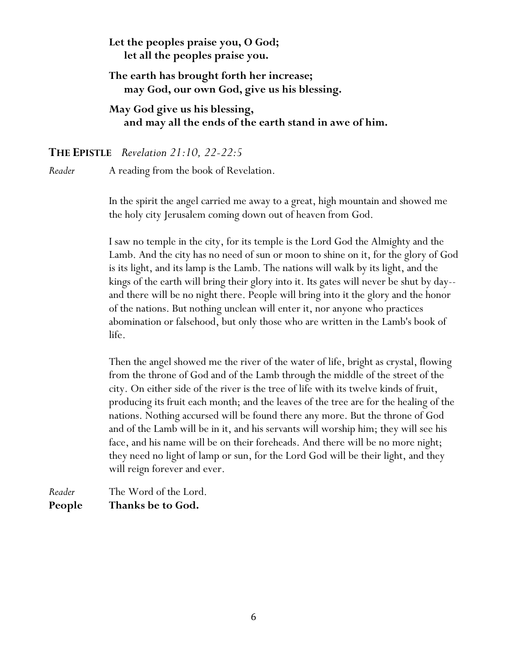**Let the peoples praise you, O God; let all the peoples praise you.**

**The earth has brought forth her increase; may God, our own God, give us his blessing.**

**May God give us his blessing, and may all the ends of the earth stand in awe of him.**

**THE EPISTLE** *Revelation 21:10, 22-22:5*

*Reader* A reading from the book of Revelation.

In the spirit the angel carried me away to a great, high mountain and showed me the holy city Jerusalem coming down out of heaven from God.

I saw no temple in the city, for its temple is the Lord God the Almighty and the Lamb. And the city has no need of sun or moon to shine on it, for the glory of God is its light, and its lamp is the Lamb. The nations will walk by its light, and the kings of the earth will bring their glory into it. Its gates will never be shut by day- and there will be no night there. People will bring into it the glory and the honor of the nations. But nothing unclean will enter it, nor anyone who practices abomination or falsehood, but only those who are written in the Lamb's book of life.

Then the angel showed me the river of the water of life, bright as crystal, flowing from the throne of God and of the Lamb through the middle of the street of the city. On either side of the river is the tree of life with its twelve kinds of fruit, producing its fruit each month; and the leaves of the tree are for the healing of the nations. Nothing accursed will be found there any more. But the throne of God and of the Lamb will be in it, and his servants will worship him; they will see his face, and his name will be on their foreheads. And there will be no more night; they need no light of lamp or sun, for the Lord God will be their light, and they will reign forever and ever.

*Reader* The Word of the Lord. **People Thanks be to God.**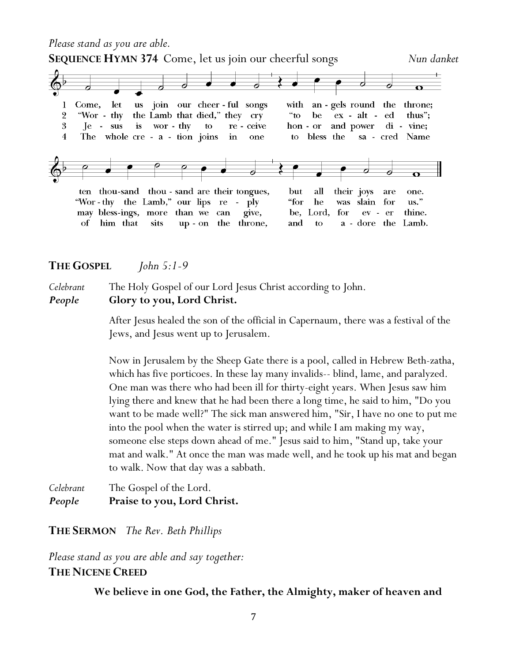*Please stand as you are able.*

**SEQUENCE HYMN 374** Come, let us join our cheerful songs *Nun danket*  $\overline{\boldsymbol{\sigma}}$  $\mathbf{l}$ Come, let  $\overline{\mathbf{u}}$ s join our cheer-ful songs with an - gels round the throne;  $\overline{2}$ "Wor - thy the Lamb that died," they " $\mathbf{t}$ be  $ex - alt$ ed thus"; **cry** 3 and power  $\text{Je}$  - sus is  $wor - thy$ to re - ceive hon - or  $di - vine;$  $\overline{4}$ The whole cre - a - tion joins in one to. bless the sa - cred Name ten thou-sand thou - sand are their tongues, but all their joys are one. "Wor-thy the Lamb," our lips re -"for he  $us."$ ply was slain for  $ev - er$ may bless-ings, more than we can give, be. Lord. for thine.  $\sigma f$ him that to a - dore the Lamb. sits  $up$  - on the throne, and

#### **THE GOSPEL** *John 5:1-9*

*Celebrant* The Holy Gospel of our Lord Jesus Christ according to John. *People* **Glory to you, Lord Christ.**

> After Jesus healed the son of the official in Capernaum, there was a festival of the Jews, and Jesus went up to Jerusalem.

Now in Jerusalem by the Sheep Gate there is a pool, called in Hebrew Beth-zatha, which has five porticoes. In these lay many invalids-- blind, lame, and paralyzed. One man was there who had been ill for thirty-eight years. When Jesus saw him lying there and knew that he had been there a long time, he said to him, "Do you want to be made well?" The sick man answered him, "Sir, I have no one to put me into the pool when the water is stirred up; and while I am making my way, someone else steps down ahead of me." Jesus said to him, "Stand up, take your mat and walk." At once the man was made well, and he took up his mat and began to walk. Now that day was a sabbath.

| Celebrant | The Gospel of the Lord.     |
|-----------|-----------------------------|
| People    | Praise to you, Lord Christ. |

**THE SERMON** *The Rev. Beth Phillips*

*Please stand as you are able and say together:* **THE NICENE CREED**

**We believe in one God, the Father, the Almighty, maker of heaven and**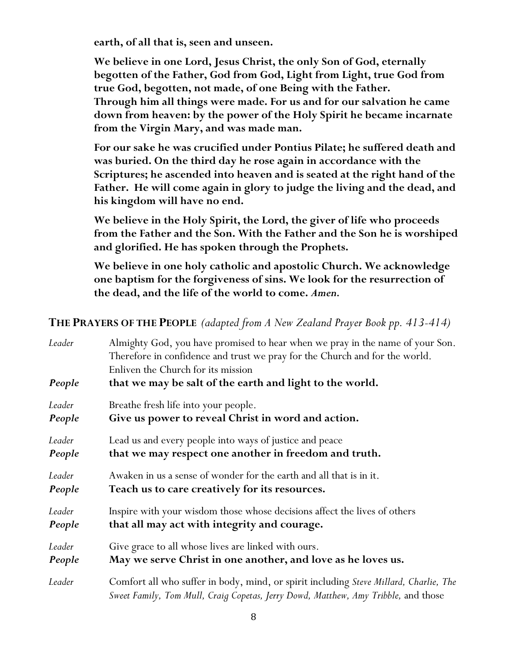**earth, of all that is, seen and unseen.**

**We believe in one Lord, Jesus Christ, the only Son of God, eternally begotten of the Father, God from God, Light from Light, true God from true God, begotten, not made, of one Being with the Father. Through him all things were made. For us and for our salvation he came down from heaven: by the power of the Holy Spirit he became incarnate from the Virgin Mary, and was made man.**

**For our sake he was crucified under Pontius Pilate; he suffered death and was buried. On the third day he rose again in accordance with the Scriptures; he ascended into heaven and is seated at the right hand of the Father. He will come again in glory to judge the living and the dead, and his kingdom will have no end.**

**We believe in the Holy Spirit, the Lord, the giver of life who proceeds from the Father and the Son. With the Father and the Son he is worshiped and glorified. He has spoken through the Prophets.**

**We believe in one holy catholic and apostolic Church. We acknowledge one baptism for the forgiveness of sins. We look for the resurrection of the dead, and the life of the world to come.** *Amen.*

#### **THE PRAYERS OF THE PEOPLE** *(adapted from A New Zealand Prayer Book pp. 413-414)*

| Leader<br>People | Almighty God, you have promised to hear when we pray in the name of your Son.<br>Therefore in confidence and trust we pray for the Church and for the world.<br>Enliven the Church for its mission<br>that we may be salt of the earth and light to the world. |
|------------------|----------------------------------------------------------------------------------------------------------------------------------------------------------------------------------------------------------------------------------------------------------------|
| Leader           | Breathe fresh life into your people.                                                                                                                                                                                                                           |
| People           | Give us power to reveal Christ in word and action.                                                                                                                                                                                                             |
| Leader           | Lead us and every people into ways of justice and peace                                                                                                                                                                                                        |
| People           | that we may respect one another in freedom and truth.                                                                                                                                                                                                          |
| Leader           | Awaken in us a sense of wonder for the earth and all that is in it.                                                                                                                                                                                            |
| People           | Teach us to care creatively for its resources.                                                                                                                                                                                                                 |
| Leader           | Inspire with your wisdom those whose decisions affect the lives of others                                                                                                                                                                                      |
| People           | that all may act with integrity and courage.                                                                                                                                                                                                                   |
| Leader           | Give grace to all whose lives are linked with ours.                                                                                                                                                                                                            |
| People           | May we serve Christ in one another, and love as he loves us.                                                                                                                                                                                                   |
| Leader           | Comfort all who suffer in body, mind, or spirit including Steve Millard, Charlie, The<br>Sweet Family, Tom Mull, Craig Copetas, Jerry Dowd, Matthew, Amy Tribble, and those                                                                                    |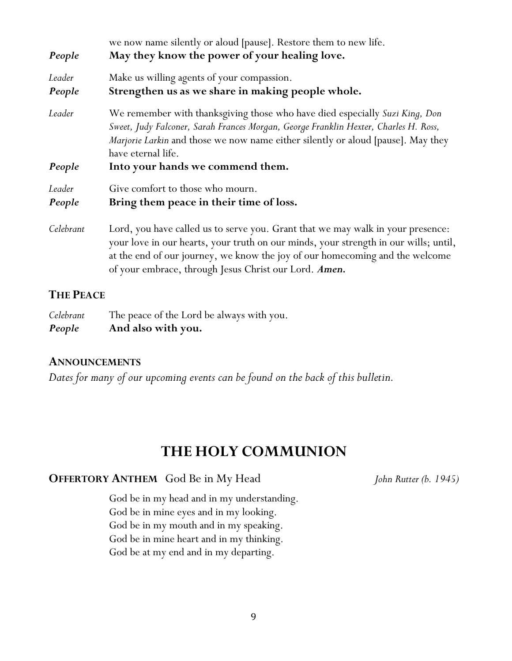| People           | we now name silently or aloud [pause]. Restore them to new life.<br>May they know the power of your healing love.                                                                                                                                                                                                |  |
|------------------|------------------------------------------------------------------------------------------------------------------------------------------------------------------------------------------------------------------------------------------------------------------------------------------------------------------|--|
| Leader<br>People | Make us willing agents of your compassion.<br>Strengthen us as we share in making people whole.                                                                                                                                                                                                                  |  |
| Leader           | We remember with thanksgiving those who have died especially Suzi King, Don<br>Sweet, Judy Falconer, Sarah Frances Morgan, George Franklin Hexter, Charles H. Ross,<br>Marjorie Larkin and those we now name either silently or aloud [pause]. May they<br>have eternal life.                                    |  |
| People           | Into your hands we commend them.                                                                                                                                                                                                                                                                                 |  |
| Leader           | Give comfort to those who mourn.                                                                                                                                                                                                                                                                                 |  |
| People           | Bring them peace in their time of loss.                                                                                                                                                                                                                                                                          |  |
| Celebrant        | Lord, you have called us to serve you. Grant that we may walk in your presence:<br>your love in our hearts, your truth on our minds, your strength in our wills; until,<br>at the end of our journey, we know the joy of our homecoming and the welcome<br>of your embrace, through Jesus Christ our Lord. Amen. |  |

#### **THE PEACE**

| Celebrant | The peace of the Lord be always with you. |
|-----------|-------------------------------------------|
| People    | And also with you.                        |

#### **ANNOUNCEMENTS**

*Dates for many of our upcoming events can be found on the back of this bulletin.*

## **THE HOLY COMMUNION**

#### **OFFERTORY ANTHEM** God Be in My Head *John Rutter (b. 1945)*

God be in my head and in my understanding. God be in mine eyes and in my looking. God be in my mouth and in my speaking. God be in mine heart and in my thinking. God be at my end and in my departing.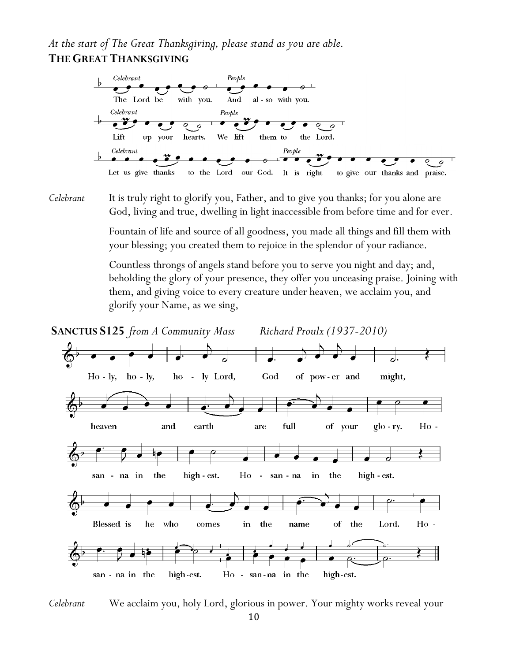#### *At the start of The Great Thanksgiving, please stand as you are able.* **THE GREAT THANKSGIVING**



*Celebrant* It is truly right to glorify you, Father, and to give you thanks; for you alone are God, living and true, dwelling in light inaccessible from before time and for ever.

> Fountain of life and source of all goodness, you made all things and fill them with your blessing; you created them to rejoice in the splendor of your radiance.

Countless throngs of angels stand before you to serve you night and day; and, beholding the glory of your presence, they offer you unceasing praise. Joining with them, and giving voice to every creature under heaven, we acclaim you, and glorify your Name, as we sing,



*Celebrant* We acclaim you, holy Lord, glorious in power. Your mighty works reveal your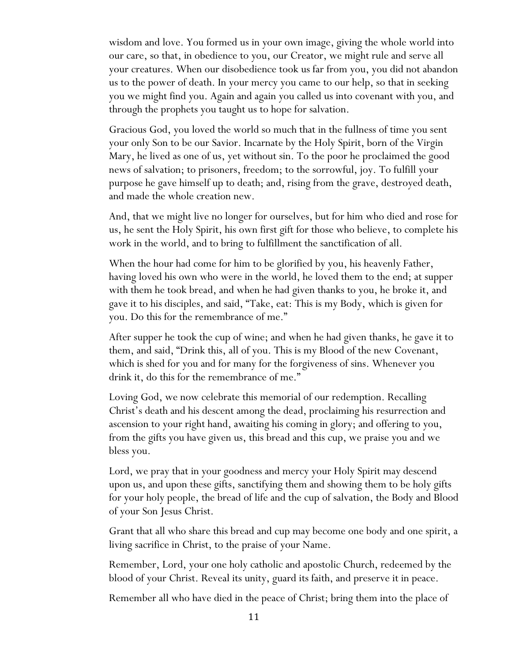wisdom and love. You formed us in your own image, giving the whole world into our care, so that, in obedience to you, our Creator, we might rule and serve all your creatures. When our disobedience took us far from you, you did not abandon us to the power of death. In your mercy you came to our help, so that in seeking you we might find you. Again and again you called us into covenant with you, and through the prophets you taught us to hope for salvation.

Gracious God, you loved the world so much that in the fullness of time you sent your only Son to be our Savior. Incarnate by the Holy Spirit, born of the Virgin Mary, he lived as one of us, yet without sin. To the poor he proclaimed the good news of salvation; to prisoners, freedom; to the sorrowful, joy. To fulfill your purpose he gave himself up to death; and, rising from the grave, destroyed death, and made the whole creation new.

And, that we might live no longer for ourselves, but for him who died and rose for us, he sent the Holy Spirit, his own first gift for those who believe, to complete his work in the world, and to bring to fulfillment the sanctification of all.

When the hour had come for him to be glorified by you, his heavenly Father, having loved his own who were in the world, he loved them to the end; at supper with them he took bread, and when he had given thanks to you, he broke it, and gave it to his disciples, and said, "Take, eat: This is my Body, which is given for you. Do this for the remembrance of me."

After supper he took the cup of wine; and when he had given thanks, he gave it to them, and said, "Drink this, all of you. This is my Blood of the new Covenant, which is shed for you and for many for the forgiveness of sins. Whenever you drink it, do this for the remembrance of me."

Loving God, we now celebrate this memorial of our redemption. Recalling Christ's death and his descent among the dead, proclaiming his resurrection and ascension to your right hand, awaiting his coming in glory; and offering to you, from the gifts you have given us, this bread and this cup, we praise you and we bless you.

Lord, we pray that in your goodness and mercy your Holy Spirit may descend upon us, and upon these gifts, sanctifying them and showing them to be holy gifts for your holy people, the bread of life and the cup of salvation, the Body and Blood of your Son Jesus Christ.

Grant that all who share this bread and cup may become one body and one spirit, a living sacrifice in Christ, to the praise of your Name.

Remember, Lord, your one holy catholic and apostolic Church, redeemed by the blood of your Christ. Reveal its unity, guard its faith, and preserve it in peace.

Remember all who have died in the peace of Christ; bring them into the place of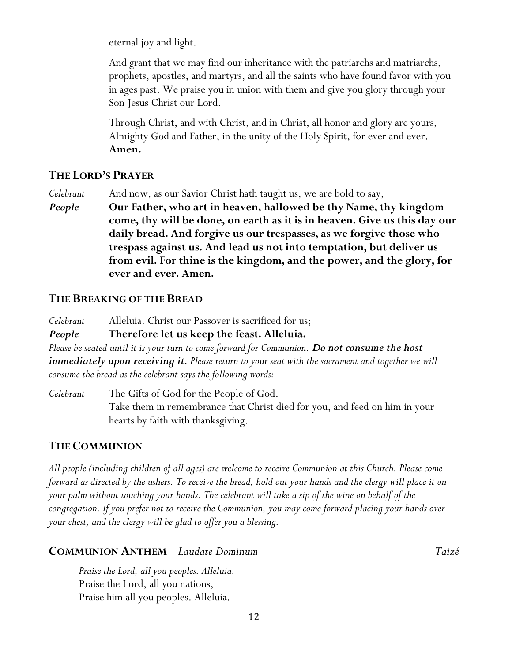eternal joy and light.

And grant that we may find our inheritance with the patriarchs and matriarchs, prophets, apostles, and martyrs, and all the saints who have found favor with you in ages past. We praise you in union with them and give you glory through your Son Jesus Christ our Lord.

Through Christ, and with Christ, and in Christ, all honor and glory are yours, Almighty God and Father, in the unity of the Holy Spirit, for ever and ever. **Amen.**

#### **THE LORD'S PRAYER**

*Celebrant* And now, as our Savior Christ hath taught us, we are bold to say,

*People* **Our Father, who art in heaven, hallowed be thy Name, thy kingdom come, thy will be done, on earth as it is in heaven. Give us this day our daily bread. And forgive us our trespasses, as we forgive those who trespass against us. And lead us not into temptation, but deliver us from evil. For thine is the kingdom, and the power, and the glory, for ever and ever. Amen.**

#### **THE BREAKING OF THE BREAD**

*Celebrant* Alleluia. Christ our Passover is sacrificed for us;

*People* **Therefore let us keep the feast. Alleluia.**

*Please be seated until it is your turn to come forward for Communion. Do not consume the host immediately upon receiving it. Please return to your seat with the sacrament and together we will consume the bread as the celebrant says the following words:*

*Celebrant* The Gifts of God for the People of God. Take them in remembrance that Christ died for you, and feed on him in your hearts by faith with thanksgiving.

#### **THE COMMUNION**

*All people (including children of all ages) are welcome to receive Communion at this Church. Please come forward as directed by the ushers. To receive the bread, hold out your hands and the clergy will place it on your palm without touching your hands. The celebrant will take a sip of the wine on behalf of the congregation. If you prefer not to receive the Communion, you may come forward placing your hands over your chest, and the clergy will be glad to offer you a blessing.*

#### **COMMUNION ANTHEM** *Laudate Dominum Taizé*

*Praise the Lord, all you peoples. Alleluia.* Praise the Lord, all you nations, Praise him all you peoples. Alleluia.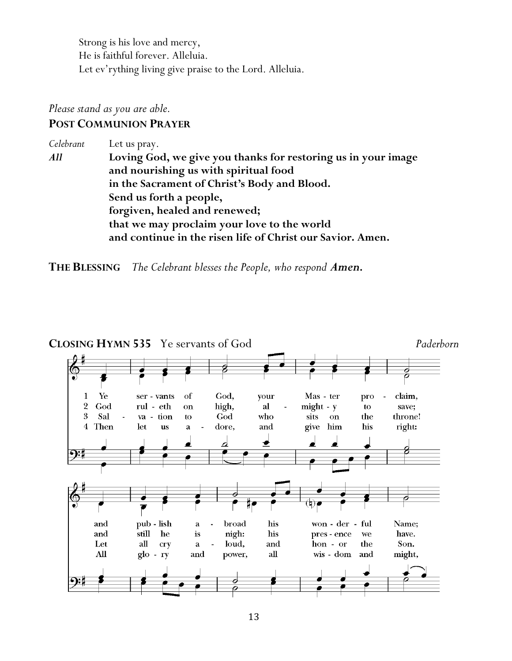Strong is his love and mercy, He is faithful forever. Alleluia. Let ev'rything living give praise to the Lord. Alleluia.

*Please stand as you are able.*

#### **POST COMMUNION PRAYER**

*Celebrant* Let us pray. *All* **Loving God, we give you thanks for restoring us in your image and nourishing us with spiritual food in the Sacrament of Christ's Body and Blood. Send us forth a people, forgiven, healed and renewed; that we may proclaim your love to the world and continue in the risen life of Christ our Savior. Amen.**

**THE BLESSING** *The Celebrant blesses the People, who respond Amen.*

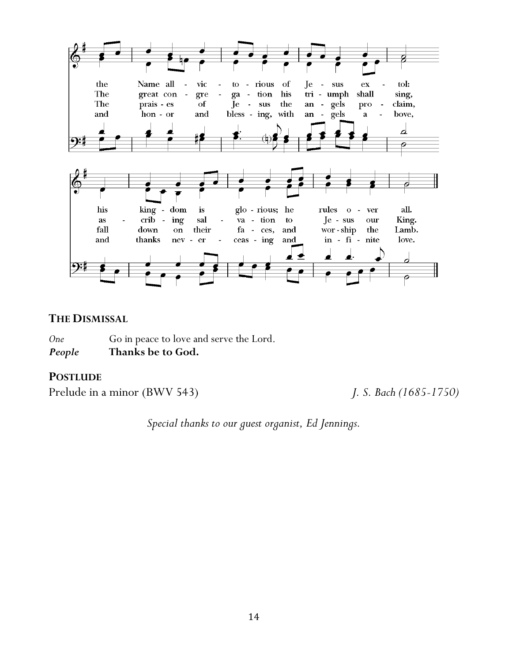

#### **THE DISMISSAL**

*One* Go in peace to love and serve the Lord. *People* **Thanks be to God.** 

#### **POSTLUDE**

Prelude in a minor (BWV 543) *J. S. Bach (1685-1750)*

*Special thanks to our guest organist, Ed Jennings.*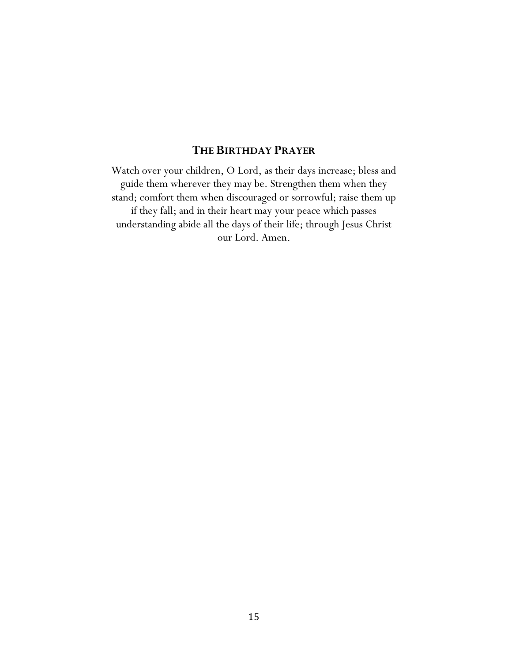#### **THE BIRTHDAY PRAYER**

Watch over your children, O Lord, as their days increase; bless and guide them wherever they may be. Strengthen them when they stand; comfort them when discouraged or sorrowful; raise them up if they fall; and in their heart may your peace which passes understanding abide all the days of their life; through Jesus Christ our Lord. Amen.